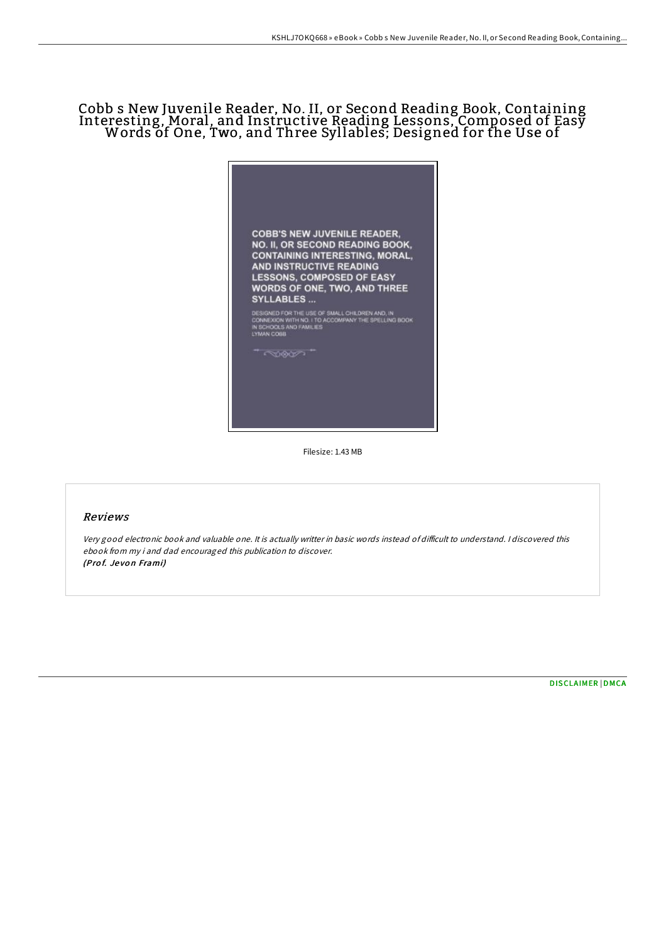# Cobb s New Juvenile Reader, No. II, or Second Reading Book, Containing Interesting, Moral, and Instructive Reading Lessons, Composed of Easy Words of One, Two, and Three Syllables; Designed for the Use of



Filesize: 1.43 MB

#### Reviews

Very good electronic book and valuable one. It is actually writter in basic words instead of difficult to understand. I discovered this ebook from my i and dad encouraged this publication to discover. (Prof. Jevon Frami)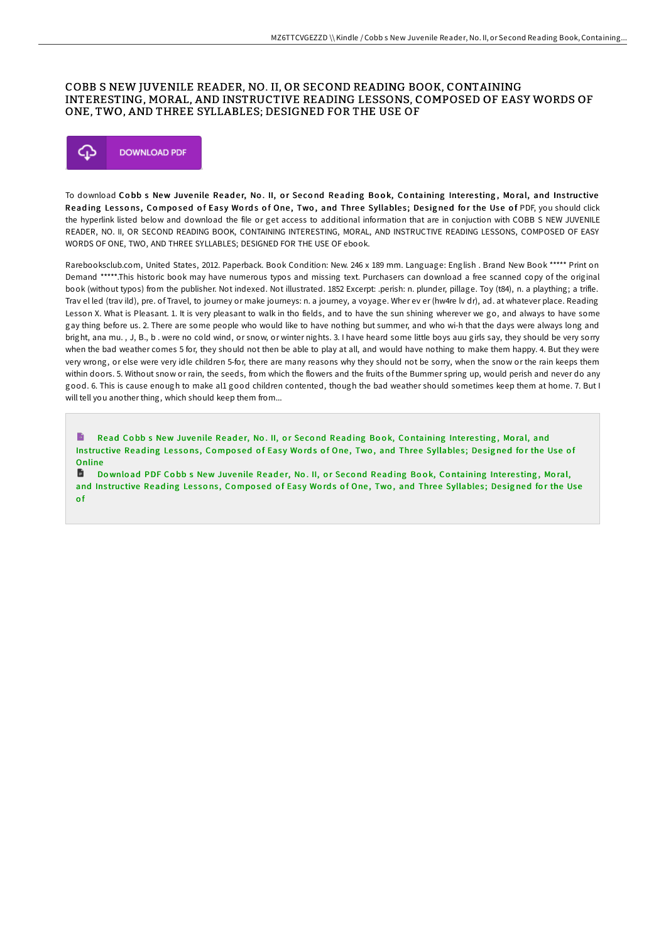## COBB S NEW JUVENILE READER, NO. II, OR SECOND READING BOOK, CONTAINING INTERESTING, MORAL, AND INSTRUCTIVE READING LESSONS, COMPOSED OF EASY WORDS OF ONE, TWO, AND THREE SYLLABLES; DESIGNED FOR THE USE OF



To download Cobb s New Juvenile Reader, No. II, or Second Reading Book, Containing Interesting, Moral, and Instructive Reading Lessons, Composed of Easy Words of One, Two, and Three Syllables; Designed for the Use of PDF, you should click the hyperlink listed below and download the file or get access to additional information that are in conjuction with COBB S NEW JUVENILE READER, NO. II, OR SECOND READING BOOK, CONTAINING INTERESTING, MORAL, AND INSTRUCTIVE READING LESSONS, COMPOSED OF EASY WORDS OF ONE, TWO, AND THREE SYLLABLES; DESIGNED FOR THE USE OF ebook.

Rarebooksclub.com, United States, 2012. Paperback. Book Condition: New. 246 x 189 mm. Language: English . Brand New Book \*\*\*\*\* Print on Demand \*\*\*\*\*.This historic book may have numerous typos and missing text. Purchasers can download a free scanned copy of the original book (without typos) from the publisher. Not indexed. Not illustrated. 1852 Excerpt: .perish: n. plunder, pillage. Toy (t84), n. a plaything; a trifle. Trav el led (trav ild), pre. of Travel, to journey or make journeys: n. a journey, a voyage. Wher ev er (hw4re lv dr), ad. at whatever place. Reading Lesson X. What is Pleasant. 1. It is very pleasant to walk in tho fields, and to have the sun shining wherever we go, and always to have some gay thing before us. 2. There are some people who would like to have nothing but summer, and who wi-h that the days were always long and bright, ana mu. , J, B., b . were no cold wind, or snow, or winter nights. 3. I have heard some little boys auu girls say, they should be very sorry when the bad weather comes 5 for, they should not then be able to play at all, and would have nothing to make them happy. 4. But they were very wrong, or else were very idle children 5-for, there are many reasons why they should not be sorry, when the snow or the rain keeps them within doors. 5. Without snow or rain, the seeds, from which the flowers and the fruits of the Bummer spring up, would perish and never do any good. 6. This is cause enough to make al1 good children contented, though the bad weather should sometimes keep them at home. 7. But I will tell you another thing, which should keep them from...

Read Cobb s New [Juvenile](http://almighty24.tech/cobb-s-new-juvenile-reader-no-ii-or-second-readi.html) Reader, No. II, or Second Reading Book, Containing Interesting, Moral, and Instructive Reading Lessons, Composed of Easy Words of One, Two, and Three Syllables; Designed for the Use of Online

D Download PDF Cobb s New [Juvenile](http://almighty24.tech/cobb-s-new-juvenile-reader-no-ii-or-second-readi.html) Reader, No. II, or Second Reading Book, Containing Interesting, Moral, and Instructive Reading Lessons, Composed of Easy Words of One, Two, and Three Syllables; Designed for the Use